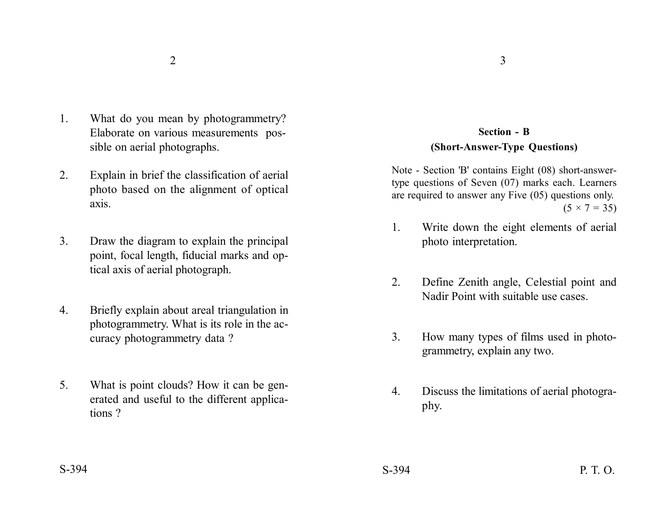- 1. What do you mean by photogrammetry? Elaborate on various measurements possible on aerial photographs.
- 2. Explain in brief the classification of aerial photo based on the alignment of optical axis.
- 3. Draw the diagram to explain the principal point, focal length, fiducial marks and optical axis of aerial photograph.
- 4. Briefly explain about areal triangulation in photogrammetry. What is its role in the accuracy photogrammetry data ?
- 5. What is point clouds? How it can be generated and useful to the different applications ?

## **Section - B (Short-Answer-Type Questions)**

Note - Section 'B' contains Eight (08) short-answertype questions of Seven (07) marks each. Learners are required to answer any Five (05) questions only.  $(5 \times 7 = 35)$ 

- 1. Write down the eight elements of aerial photo interpretation.
- 2. Define Zenith angle, Celestial point and Nadir Point with suitable use cases.
- 3. How many types of films used in photogrammetry, explain any two.
- 4. Discuss the limitations of aerial photography.